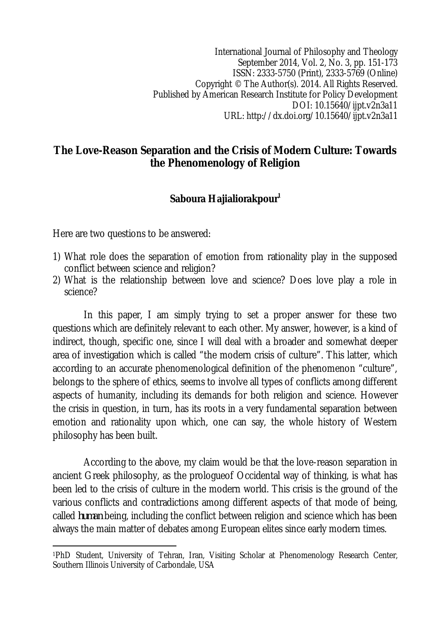International Journal of Philosophy and Theology September 2014, Vol. 2, No. 3, pp. 151-173 ISSN: 2333-5750 (Print), 2333-5769 (Online) Copyright © The Author(s). 2014. All Rights Reserved. Published by American Research Institute for Policy Development DOI: 10.15640/ijpt.v2n3a11 URL: http://dx.doi.org/10.15640/ijpt.v2n3a11

### **The Love-Reason Separation and the Crisis of Modern Culture: Towards the Phenomenology of Religion**

# **Saboura Hajialiorakpour<sup>1</sup>**

Here are two questions to be answered:

- 1) What role does the separation of emotion from rationality play in the supposed conflict between science and religion?
- 2) What is the relationship between love and science? Does love play a role in science?

In this paper, I am simply trying to set a proper answer for these two questions which are definitely relevant to each other. My answer, however, is a kind of indirect, though, specific one, since I will deal with a broader and somewhat deeper area of investigation which is called "the modern crisis of culture". This latter, which according to an accurate phenomenological definition of the phenomenon "culture", belongs to the sphere of ethics, seems to involve all types of conflicts among different aspects of humanity, including its demands for both religion and science. However the crisis in question, in turn, has its roots in a very fundamental separation between emotion and rationality upon which, one can say, the whole history of Western philosophy has been built.

According to the above, my claim would be that the love-reason separation in ancient Greek philosophy, as the prologueof Occidental way of thinking, is what has been led to the crisis of culture in the modern world. This crisis is the ground of the various conflicts and contradictions among different aspects of that mode of being, called *human* being, including the conflict between religion and science which has been always the main matter of debates among European elites since early modern times.

 $\overline{a}$ <sup>1</sup>PhD Student, University of Tehran, Iran, Visiting Scholar at Phenomenology Research Center, Southern Illinois University of Carbondale, USA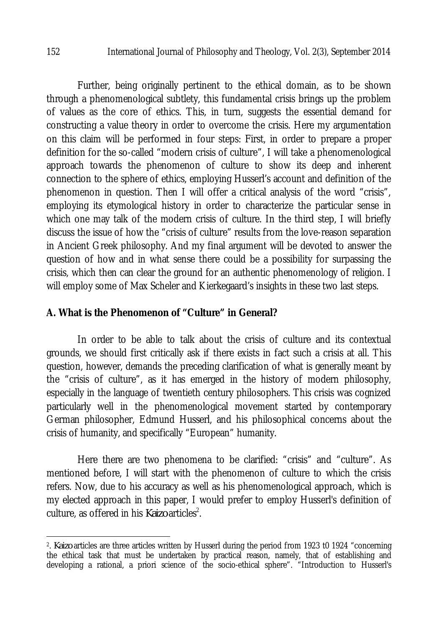Further, being originally pertinent to the ethical domain, as to be shown through a phenomenological subtlety, this fundamental crisis brings up the problem of values as the core of ethics. This, in turn, suggests the essential demand for constructing a value theory in order to overcome the crisis. Here my argumentation on this claim will be performed in four steps: First, in order to prepare a proper definition for the so-called "modern crisis of culture", I will take a phenomenological approach towards the phenomenon of culture to show its deep and inherent connection to the sphere of ethics, employing Husserl's account and definition of the phenomenon in question. Then I will offer a critical analysis of the word "crisis", employing its etymological history in order to characterize the particular sense in which one may talk of the modern crisis of culture. In the third step, I will briefly discuss the issue of how the "crisis of culture" results from the love-reason separation in Ancient Greek philosophy. And my final argument will be devoted to answer the question of how and in what sense there could be a possibility for surpassing the crisis, which then can clear the ground for an authentic phenomenology of religion. I will employ some of Max Scheler and Kierkegaard's insights in these two last steps.

#### **A. What is the Phenomenon of "Culture" in General?**

In order to be able to talk about the crisis of culture and its contextual grounds, we should first critically ask if there exists in fact such a crisis at all. This question, however, demands the preceding clarification of what is generally meant by the "crisis of culture", as it has emerged in the history of modern philosophy, especially in the language of twentieth century philosophers. This crisis was cognized particularly well in the phenomenological movement started by contemporary German philosopher, Edmund Husserl, and his philosophical concerns about the crisis of humanity, and specifically "European" humanity.

Here there are two phenomena to be clarified: "crisis" and "culture". As mentioned before, I will start with the phenomenon of culture to which the crisis refers. Now, due to his accuracy as well as his phenomenological approach, which is my elected approach in this paper, I would prefer to employ Husserl's definition of culture, as offered in his *Kaizo* articles<sup>2</sup>.

 $\overline{\phantom{a}}$ 

<sup>2</sup> . *Kaizo* articles are three articles written by Husserl during the period from 1923 t0 1924 "concerning the ethical task that must be undertaken by practical reason, namely, that of establishing and developing a rational, a priori science of the socio-ethical sphere". "Introduction to Husserl's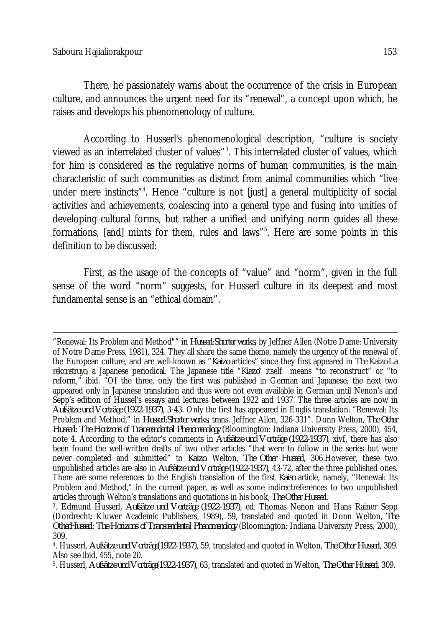There, he passionately warns about the occurrence of the crisis in European culture, and announces the urgent need for its "renewal", a concept upon which, he raises and develops his phenomenology of culture.

According to Husserl's phenomenological description, "culture is society viewed as an interrelated cluster of values"<sup>3</sup>. This interrelated cluster of values, which for him is considered as the regulative norms of human communities, is the main characteristic of such communities as distinct from animal communities which "live under mere instincts"<sup>4</sup>. Hence "culture is not [just] a general multiplicity of social activities and achievements, coalescing into a general type and fusing into unities of developing cultural forms, but rather a unified and unifying norm guides all these formations, [and] mints for them, rules and laws"<sup>5</sup>. Here are some points in this definition to be discussed:

First, as the usage of the concepts of "value" and "norm", given in the full sense of the word "norm" suggests, for Husserl culture in its deepest and most fundamental sense is an "ethical domain".

 $\overline{a}$ "Renewal: Its Problem and Method"" in *Husserl:Shorter works*, by Jeffner Allen (Notre Dame: University of Notre Dame Press, 1981), 324. They all share the same theme, namely the urgency of the renewal of the European culture, and are well-known as "*Kaizo* articles" since they first appeared in *The Kaizo-La rekonstruyo*, a Japanese periodical. The Japanese title "*Kiazo*" itself means "to reconstruct" or "to reform," ibid. "Of the three, only the first was published in German and Japanese; the next two appeared only in Japanese translation and thus were not even available in German until Nenon's and Sepp's edition of Hussel's essays and lectures between 1922 and 1937. The three articles are now in *Aufsätze und Vorträge (1922-1937)*, 3-43. Only the first has appeared in Englis translation: "Renewal: Its Problem and Method," in *Husserl:Shorter works*, trans. Jeffner Allen, 326-331". Donn Welton, *The Other Husserl: The Horizons of Transcendental Phenomenology* (Bloomington: Indiana University Press, 2000), 454, note 4. According to the editor's comments in *Aufsätze und Vorträge (1922-1937)*, xivf, there has also been found the well-written drafts of two other articles "that were to follow in the series but were never completed and submitted" to *Kaizo*. Welton, *The Other Husserl*, 306.However, these two unpublished articles are also in *Aufsätze und Vorträge (1922-1937)*, 43-72, after the three published ones. There are some references to the English translation of the first *Kaiso* article, namely, "Renewal: Its Problem and Method," in the current paper, as well as some indirectreferences to two unpublished articles through Welton's translations and quotations in his book, *The Other Husserl*.

<sup>3</sup> . Edmund Husserl, *Aufsätze und Vorträge (1922-1937)*, ed. Thomas Nenon and Hans Rainer Sepp (Dordrecht: Kluwer Academic Publishers, 1989), 59, translated and quoted in Donn Welton, *The OtherHusserl: The Horizons of Transcendental Phenomenology* (Bloomington: Indiana University Press, 2000), 309.

<sup>4</sup> . Husserl, *Aufsätze und Vorträge(1922-1937)*, 59, translated and quoted in Welton, *The Other Husserl*, 309. Also see ibid, 455, note 20.

<sup>5</sup> . Husserl, *Aufsätze und Vorträge(1922-1937)*, 63, translated and quoted in Welton, *The Other Husserl*, 309.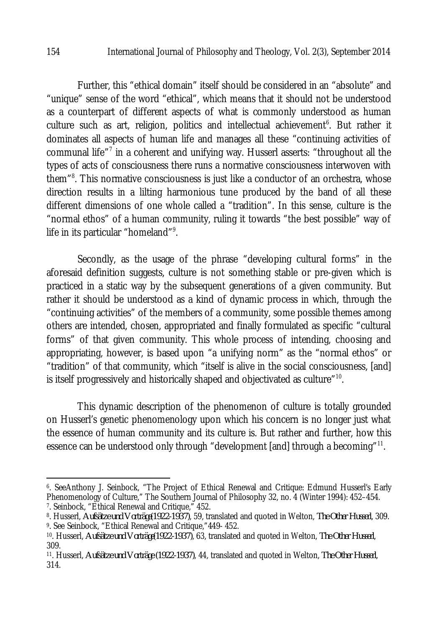Further, this "ethical domain" itself should be considered in an "absolute" and "unique" sense of the word "ethical", which means that it should not be understood as a counterpart of different aspects of what is commonly understood as human culture such as art, religion, politics and intellectual achievement<sup>6</sup>. But rather it dominates all aspects of human life and manages all these "continuing activities of communal life"<sup>7</sup> in a coherent and unifying way. Husserl asserts: "throughout all the types of acts of consciousness there runs a normative consciousness interwoven with them"<sup>8</sup>. This normative consciousness is just like a conductor of an orchestra, whose direction results in a lilting harmonious tune produced by the band of all these different dimensions of one whole called a "tradition". In this sense, culture is the "normal ethos" of a human community, ruling it towards "the best possible" way of life in its particular "homeland"<sup>9</sup>.

Secondly, as the usage of the phrase "developing cultural forms" in the aforesaid definition suggests, culture is not something stable or pre-given which is practiced in a static way by the subsequent generations of a given community. But rather it should be understood as a kind of dynamic process in which, through the "continuing activities" of the members of a community, some possible themes among others are intended, chosen, appropriated and finally formulated as specific "cultural forms" of that given community. This whole process of intending, choosing and appropriating, however, is based upon "a unifying norm" as the "normal ethos" or "tradition" of that community, which "itself is alive in the social consciousness, [and] is itself progressively and historically shaped and objectivated as culture" $^{\rm 10}$ .

This dynamic description of the phenomenon of culture is totally grounded on Husserl's genetic phenomenology upon which his concern is no longer just what the essence of human community and its culture is. But rather and further, how this essence can be understood only through "development [and] through a becoming"<sup>11</sup>.

 $\overline{a}$ 

<sup>6</sup> . SeeAnthony J. Seinbock, "The Project of Ethical Renewal and Critique: Edmund Husserl's Early Phenomenology of Culture," The Southern Journal of Philosophy 32, no. 4 (Winter 1994): 452–454. 7 . Seinbock, "Ethical Renewal and Critique," 452.

<sup>8</sup> . Husserl, *Aufsätze und Vorträge(1922-1937)*, 59, translated and quoted in Welton, *The Other Husserl*, 309. 9 . See Seinbock, "Ethical Renewal and Critique,"449- 452.

<sup>10</sup>. Husserl, *Aufsätze und Vorträge(1922-1937)*, 63, translated and quoted in Welton, *The Other Husserl*, 309.

<sup>11</sup>. Husserl, *Aufsätze und Vorträge (1922-1937)*, 44, translated and quoted in Welton, *The Other Husserl*, 314.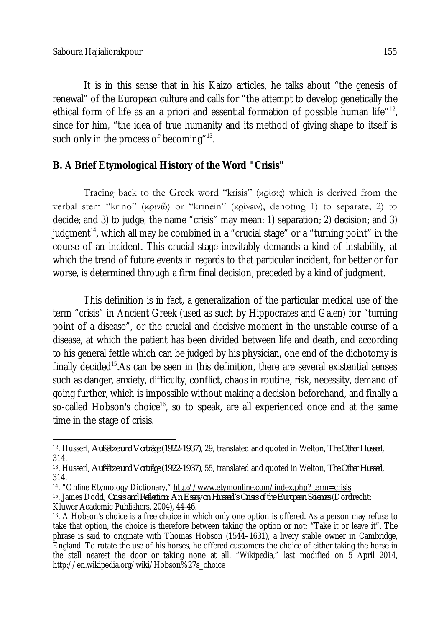It is in this sense that in his Kaizo articles, he talks about "the genesis of renewal" of the European culture and calls for "the attempt to develop genetically the ethical form of life as an a priori and essential formation of possible human life<sup>"12</sup>, since for him, "the idea of true humanity and its method of giving shape to itself is such only in the process of becoming" $^{13}$ .

# **B. A Brief Etymological History of the Word "Crisis"**

Tracing back to the Greek word "krisis" (κρίσις) which is derived from the verbal stem "krino" (κρινῶ) or "krinein" (κρίνειν), denoting 1) to separate; 2) to decide; and 3) to judge, the name "crisis" may mean: 1) separation; 2) decision; and 3) judgment<sup>14</sup>, which all may be combined in a "crucial stage" or a "turning point" in the course of an incident. This crucial stage inevitably demands a kind of instability, at which the trend of future events in regards to that particular incident, for better or for worse, is determined through a firm final decision, preceded by a kind of judgment.

This definition is in fact, a generalization of the particular medical use of the term "crisis" in Ancient Greek (used as such by Hippocrates and Galen) for "turning point of a disease", or the crucial and decisive moment in the unstable course of a disease, at which the patient has been divided between life and death, and according to his general fettle which can be judged by his physician, one end of the dichotomy is finally decided<sup>15</sup>. As can be seen in this definition, there are several existential senses such as danger, anxiety, difficulty, conflict, chaos in routine, risk, necessity, demand of going further, which is impossible without making a decision beforehand, and finally a so-called Hobson's choice<sup>16</sup>, so to speak, are all experienced once and at the same time in the stage of crisis.

 $\overline{\phantom{a}}$ <sup>12</sup>. Husserl, *Aufsätze und Vorträge (1922-1937)*, 29, translated and quoted in Welton, *The Other Husserl*, 314.

<sup>13</sup>. Husserl, *Aufsätze und Vorträge (1922-1937)*, 55, translated and quoted in Welton, *The Other Husserl*, 314.

<sup>14</sup>. "Online Etymology Dictionary," http://www.etymonline.com/index.php? term=crisis

<sup>15</sup>. James Dodd, *Crisis and Reflection: An Essay on Husserl's Crisis of the European Sciences* (Dordrecht: Kluwer Academic Publishers, 2004), 44-46.

<sup>16</sup>. A Hobson's choice is a free choice in which only one option is offered. As a person may refuse to take that option, the choice is therefore between taking the option or not; "Take it or leave it". The phrase is said to originate with Thomas Hobson (1544–1631), a livery stable owner in Cambridge, England. To rotate the use of his horses, he offered customers the choice of either taking the horse in the stall nearest the door or taking none at all. "Wikipedia," last modified on 5 April 2014, http://en.wikipedia.org/wiki/Hobson%27s\_choice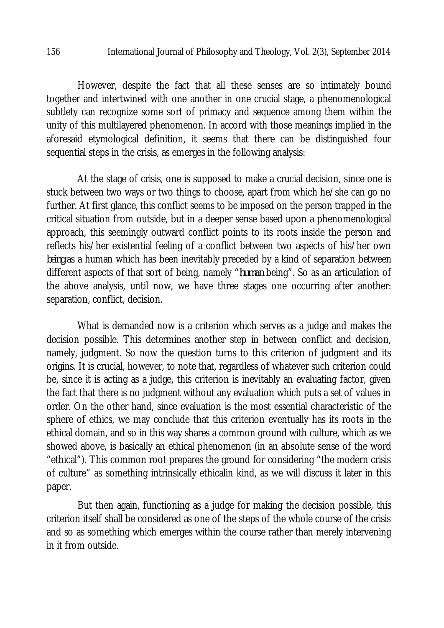However, despite the fact that all these senses are so intimately bound together and intertwined with one another in one crucial stage, a phenomenological subtlety can recognize some sort of primacy and sequence among them within the unity of this multilayered phenomenon. In accord with those meanings implied in the aforesaid etymological definition, it seems that there can be distinguished four sequential steps in the crisis, as emerges in the following analysis:

At the stage of crisis, one is supposed to make a crucial decision, since one is stuck between two ways or two things to choose, apart from which he/she can go no further. At first glance, this conflict seems to be imposed on the person trapped in the critical situation from outside, but in a deeper sense based upon a phenomenological approach, this seemingly outward conflict points to its roots inside the person and reflects his/her existential feeling of a conflict between two aspects of his/her own *being* as a human which has been inevitably preceded by a kind of separation between different aspects of that sort of being, namely "*human* being". So as an articulation of the above analysis, until now, we have three stages one occurring after another: separation, conflict, decision.

What is demanded now is a criterion which serves as a judge and makes the decision possible. This determines another step in between conflict and decision, namely, judgment. So now the question turns to this criterion of judgment and its origins. It is crucial, however, to note that, regardless of whatever such criterion could be, since it is acting as a judge, this criterion is inevitably an evaluating factor, given the fact that there is no judgment without any evaluation which puts a set of values in order. On the other hand, since evaluation is the most essential characteristic of the sphere of ethics, we may conclude that this criterion eventually has its roots in the ethical domain, and so in this way shares a common ground with culture, which as we showed above, is basically an ethical phenomenon (in an absolute sense of the word "ethical"). This common root prepares the ground for considering "the modern crisis of culture" as something intrinsically ethicalin kind, as we will discuss it later in this paper.

But then again, functioning as a judge for making the decision possible, this criterion itself shall be considered as one of the steps of the whole course of the crisis and so as something which emerges within the course rather than merely intervening in it from outside.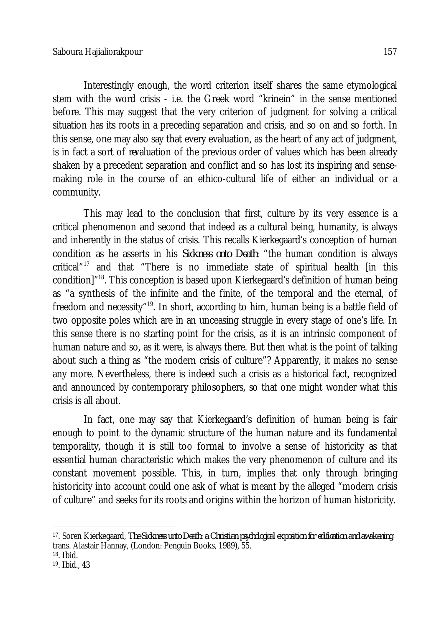Interestingly enough, the word criterion itself shares the same etymological stem with the word crisis - i.e. the Greek word "krinein" in the sense mentioned before. This may suggest that the very criterion of judgment for solving a critical situation has its roots in a preceding separation and crisis, and so on and so forth. In this sense, one may also say that every evaluation, as the heart of any act of judgment, is in fact a sort of *re*valuation of the previous order of values which has been already shaken by a precedent separation and conflict and so has lost its inspiring and sensemaking role in the course of an ethico-cultural life of either an individual or a community.

This may lead to the conclusion that first, culture by its very essence is a critical phenomenon and second that indeed as a cultural being, humanity, is always and inherently in the status of crisis. This recalls Kierkegaard's conception of human condition as he asserts in his *Sickness onto Death*: "the human condition is always critical $17$ <sup>17</sup> and that "There is no immediate state of spiritual health [in this condition]"<sup>18</sup>. This conception is based upon Kierkegaard's definition of human being as "a synthesis of the infinite and the finite, of the temporal and the eternal, of freedom and necessity"<sup>19</sup>. In short, according to him, human being is a battle field of two opposite poles which are in an unceasing struggle in every stage of one's life. In this sense there is no starting point for the crisis, as it is an intrinsic component of human nature and so, as it were, is always there. But then what is the point of talking about such a thing as "the modern crisis of culture"? Apparently, it makes no sense any more. Nevertheless, there is indeed such a crisis as a historical fact, recognized and announced by contemporary philosophers, so that one might wonder what this crisis is all about.

In fact, one may say that Kierkegaard's definition of human being is fair enough to point to the dynamic structure of the human nature and its fundamental temporality, though it is still too formal to involve a sense of historicity as that essential human characteristic which makes the very phenomenon of culture and its constant movement possible. This, in turn, implies that only through bringing historicity into account could one ask of what is meant by the alleged "modern crisis of culture" and seeks for its roots and origins within the horizon of human historicity.

 $\overline{\phantom{a}}$ <sup>17</sup>. Soren Kierkegaard, *The Sickness unto Death: a Christian psychological exposition for edification and awakening*, trans. Alastair Hannay, (London: Penguin Books, 1989), 55.

<sup>18</sup>. Ibid.

<sup>19</sup>. Ibid., 43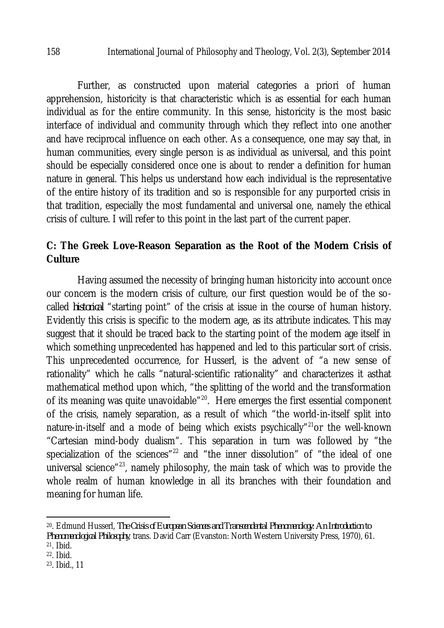Further, as constructed upon material categories a priori of human apprehension, historicity is that characteristic which is as essential for each human individual as for the entire community. In this sense, historicity is the most basic interface of individual and community through which they reflect into one another and have reciprocal influence on each other. As a consequence, one may say that, in human communities, every single person is as individual as universal, and this point should be especially considered once one is about to render a definition for human nature in general. This helps us understand how each individual is the representative of the entire history of its tradition and so is responsible for any purported crisis in that tradition, especially the most fundamental and universal one, namely the ethical crisis of culture. I will refer to this point in the last part of the current paper.

## **C: The Greek Love-Reason Separation as the Root of the Modern Crisis of Culture**

Having assumed the necessity of bringing human historicity into account once our concern is the modern crisis of culture, our first question would be of the socalled *historical* "starting point" of the crisis at issue in the course of human history. Evidently this crisis is specific to the modern age, as its attribute indicates. This may suggest that it should be traced back to the starting point of the modern age itself in which something unprecedented has happened and led to this particular sort of crisis. This unprecedented occurrence, for Husserl, is the advent of "a new sense of rationality" which he calls "natural-scientific rationality" and characterizes it asthat mathematical method upon which, "the splitting of the world and the transformation of its meaning was quite unavoidable"<sup>20</sup>. Here emerges the first essential component of the crisis, namely separation, as a result of which "the world-in-itself split into nature-in-itself and a mode of being which exists psychically"<sup>21</sup>or the well-known "Cartesian mind-body dualism". This separation in turn was followed by "the specialization of the sciences"<sup>22</sup> and "the inner dissolution" of "the ideal of one universal science"<sup>23</sup>, namely philosophy, the main task of which was to provide the whole realm of human knowledge in all its branches with their foundation and meaning for human life.

 $\overline{\phantom{a}}$ <sup>20</sup>. Edmund Husserl, *The Crisis of European Sciences and Transcendental Phenomenology: An Introduction to Phenomenological Philosophy*, trans. David Carr (Evanston: North Western University Press, 1970), 61. <sup>21</sup>. Ibid.

<sup>&</sup>lt;sup>22</sup>. Ibid.

<sup>23</sup>. Ibid., 11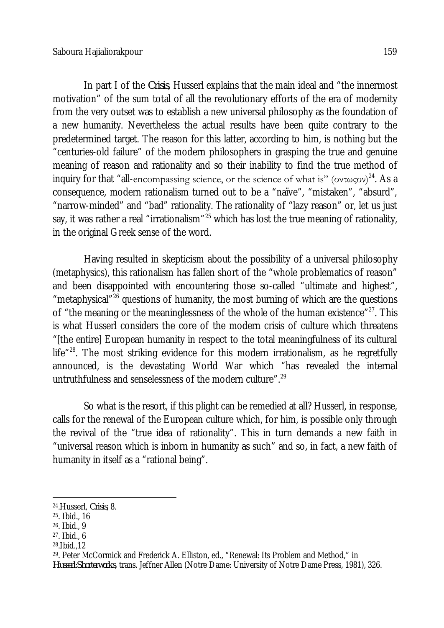In part I of the *Crisis*, Husserl explains that the main ideal and "the innermost motivation" of the sum total of all the revolutionary efforts of the era of modernity from the very outset was to establish a new universal philosophy as the foundation of a new humanity. Nevertheless the actual results have been quite contrary to the predetermined target. The reason for this latter, according to him, is nothing but the "centuries-old failure" of the modern philosophers in grasping the true and genuine meaning of reason and rationality and so their inability to find the true method of inquiry for that "all-encompassing science, or the science of what is" (οντωςον)<sup>24</sup>. As a consequence, modern rationalism turned out to be a "naïve", "mistaken", "absurd", "narrow-minded" and "bad" rationality. The rationality of "lazy reason" or, let us just say, it was rather a real "irrationalism"<sup>25</sup> which has lost the true meaning of rationality, in the original Greek sense of the word.

Having resulted in skepticism about the possibility of a universal philosophy (metaphysics), this rationalism has fallen short of the "whole problematics of reason" and been disappointed with encountering those so-called "ultimate and highest", "metaphysical"<sup>26</sup> questions of humanity, the most burning of which are the questions of "the meaning or the meaninglessness of the whole of the human existence" $^{27}$ . This is what Husserl considers the core of the modern crisis of culture which threatens "[the entire] European humanity in respect to the total meaningfulness of its cultural life" $^{28}$ . The most striking evidence for this modern irrationalism, as he regretfully announced, is the devastating World War which "has revealed the internal untruthfulness and senselessness of the modern culture".<sup>29</sup>

So what is the resort, if this plight can be remedied at all? Husserl, in response, calls for the renewal of the European culture which, for him, is possible only through the revival of the "true idea of rationality". This in turn demands a new faith in "universal reason which is inborn in humanity as such" and so, in fact, a new faith of humanity in itself as a "rational being".

 $\overline{a}$ 

28 .Ibid.,12

<sup>24</sup> .Husserl, *Crisis*, 8.

<sup>25</sup>. Ibid., 16

<sup>26</sup>. Ibid., 9

<sup>27</sup>. Ibid., 6

<sup>29</sup>. Peter McCormick and Frederick A. Elliston, ed., "Renewal: Its Problem and Method," in *Husserl:Shorterworks*, trans. Jeffner Allen (Notre Dame: University of Notre Dame Press, 1981), 326.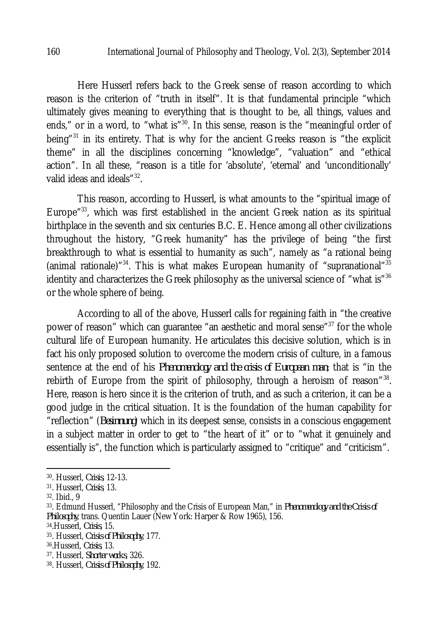Here Husserl refers back to the Greek sense of reason according to which reason is the criterion of "truth in itself". It is that fundamental principle "which ultimately gives meaning to everything that is thought to be, all things, values and ends," or in a word, to "what is"<sup>30</sup>. In this sense, reason is the "meaningful order of being<sup>"31</sup> in its entirety. That is why for the ancient Greeks reason is "the explicit theme" in all the disciplines concerning "knowledge", "valuation" and "ethical action". In all these, "reason is a title for 'absolute', 'eternal' and 'unconditionally' valid ideas and ideals"<sup>32</sup>.

This reason, according to Husserl, is what amounts to the "spiritual image of Europe"<sup>33</sup>, which was first established in the ancient Greek nation as its spiritual birthplace in the seventh and six centuries B.C. E. Hence among all other civilizations throughout the history, "Greek humanity" has the privilege of being "the first breakthrough to what is essential to humanity as such", namely as "a rational being (animal rationale)<sup>"34</sup>. This is what makes European humanity of "supranational"<sup>35</sup> identity and characterizes the Greek philosophy as the universal science of "what is"<sup>36</sup> or the whole sphere of being.

According to all of the above, Husserl calls for regaining faith in "the creative power of reason" which can quarantee "an aesthetic and moral sense"<sup>37</sup> for the whole cultural life of European humanity. He articulates this decisive solution, which is in fact his only proposed solution to overcome the modern crisis of culture, in a famous sentence at the end of his *Phenomenology and the crisis of European man*; that is "in the rebirth of Europe from the spirit of philosophy, through a heroism of reason"<sup>38</sup>. Here, reason is hero since it is the criterion of truth, and as such a criterion, it can be a good judge in the critical situation. It is the foundation of the human capability for "reflection" (*Besinnung*) which in its deepest sense, consists in a conscious engagement in a subject matter in order to get to "the heart of it" or to "what it genuinely and essentially is", the function which is particularly assigned to "critique" and "criticism".

 $\overline{a}$ 

<sup>30</sup>. Husserl, *Crisis*, 12-13.

<sup>31</sup> . Husserl, *Crisis*, 13.

<sup>32</sup>. Ibid., 9

<sup>33</sup>. Edmund Husserl, "Philosophy and the Crisis of European Man," in *Phenomenology and the Crisis of Philosophy*, trans. Quentin Lauer (New York: Harper & Row 1965), 156.

<sup>34</sup>.Husserl, *Crisis*, 15.

<sup>35</sup>. Husserl, *Crisis of Philosophy*, 177.

<sup>36</sup>.Husserl, *Crisis*, 13.

<sup>37</sup>. Husserl, *Shorter works*, 326.

<sup>38</sup>. Husserl, *Crisis of Philosophy*, 192.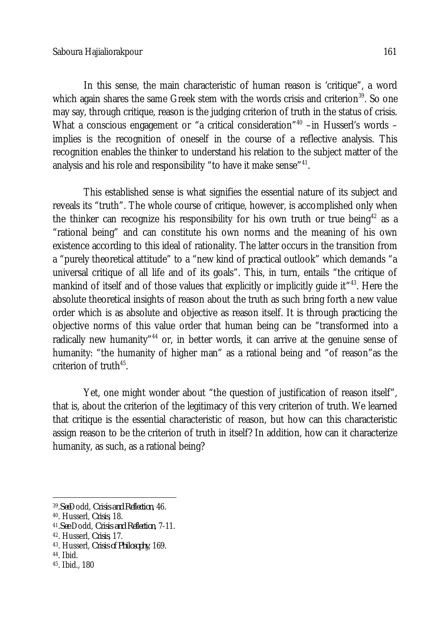In this sense, the main characteristic of human reason is 'critique", a word which again shares the same Greek stem with the words crisis and criterion<sup>39</sup>. So one may say, through critique, reason is the judging criterion of truth in the status of crisis. What a conscious engagement or "a critical consideration"<sup>40</sup> –in Husserl's words – implies is the recognition of oneself in the course of a reflective analysis. This recognition enables the thinker to understand his relation to the subject matter of the analysis and his role and responsibility "to have it make sense" $^{\rm 41}.$ 

This established sense is what signifies the essential nature of its subject and reveals its "truth". The whole course of critique, however, is accomplished only when the thinker can recognize his responsibility for his own truth or true being<sup>42</sup> as a "rational being" and can constitute his own norms and the meaning of his own existence according to this ideal of rationality. The latter occurs in the transition from a "purely theoretical attitude" to a "new kind of practical outlook" which demands "a universal critique of all life and of its goals". This, in turn, entails "the critique of mankind of itself and of those values that explicitly or implicitly quide it  $14^{43}$ . Here the absolute theoretical insights of reason about the truth as such bring forth a new value order which is as absolute and objective as reason itself. It is through practicing the objective norms of this value order that human being can be "transformed into a radically new humanity<sup>"44</sup> or, in better words, it can arrive at the genuine sense of humanity: "the humanity of higher man" as a rational being and "of reason"as the criterion of truth $45$ .

Yet, one might wonder about "the question of justification of reason itself", that is, about the criterion of the legitimacy of this very criterion of truth. We learned that critique is the essential characteristic of reason, but how can this characteristic assign reason to be the criterion of truth in itself? In addition, how can it characterize humanity, as such, as a rational being?

 $\overline{a}$ 39 .*See*Dodd, *Crisis and Reflection*, 46.

<sup>40</sup>. Husserl, *Crisis*, 18.

<sup>41</sup> .*See* Dodd, *Crisis and Reflection*, 7-11.

<sup>42</sup>. Husserl, *Crisis*, 17.

<sup>43</sup>. Husserl, *Crisis of Philosophy*, 169.

<sup>44</sup>. Ibid.

<sup>45</sup>. Ibid., 180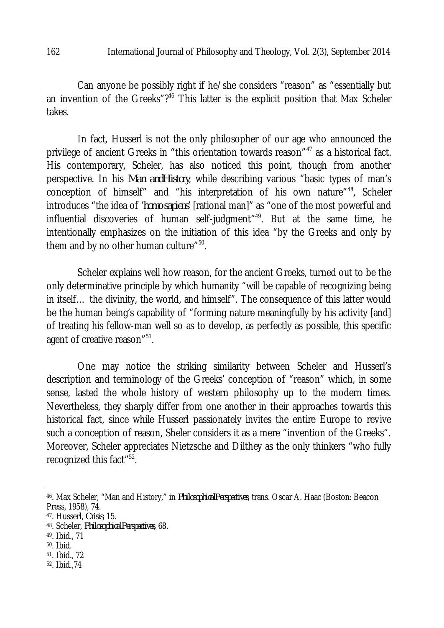Can anyone be possibly right if he/she considers "reason" as "essentially but an invention of the Greeks"?<sup>46</sup> This latter is the explicit position that Max Scheler takes.

In fact, Husserl is not the only philosopher of our age who announced the privilege of ancient Greeks in "this orientation towards reason"<sup>47</sup> as a historical fact. His contemporary, Scheler, has also noticed this point, though from another perspective. In his *Man andHistory*, while describing various "basic types of man's conception of himself" and "his interpretation of his own nature"<sup>48</sup>, Scheler introduces "the idea of '*homo sapiens*' [rational man]" as "one of the most powerful and influential discoveries of human self-judgment<sup>"49</sup>. But at the same time, he intentionally emphasizes on the initiation of this idea "by the Greeks and only by them and by no other human culture"<sup>50</sup>.

Scheler explains well how reason, for the ancient Greeks, turned out to be the only determinative principle by which humanity "will be capable of recognizing being in itself… the divinity, the world, and himself". The consequence of this latter would be the human being's capability of "forming nature meaningfully by his activity [and] of treating his fellow-man well so as to develop, as perfectly as possible, this specific agent of creative reason"<sup>51</sup>.

One may notice the striking similarity between Scheler and Husserl's description and terminology of the Greeks' conception of "reason" which, in some sense, lasted the whole history of western philosophy up to the modern times. Nevertheless, they sharply differ from one another in their approaches towards this historical fact, since while Husserl passionately invites the entire Europe to revive such a conception of reason, Sheler considers it as a mere "invention of the Greeks". Moreover, Scheler appreciates Nietzsche and Dilthey as the only thinkers "who fully recognized this fact"<sup>52</sup>.

52. Ibid.,74

 $\overline{a}$ <sup>46</sup>. Max Scheler, "Man and History," in *PhilosophicalPerspectives*, trans. Oscar A. Haac (Boston: Beacon Press, 1958), 74.

<sup>47</sup>. Husserl, *Crisis*, 15.

<sup>48</sup>. Scheler, *PhilosophicalPerspectives*, 68.

<sup>49</sup>. Ibid., 71

<sup>50</sup>. Ibid.

<sup>51</sup>. Ibid., 72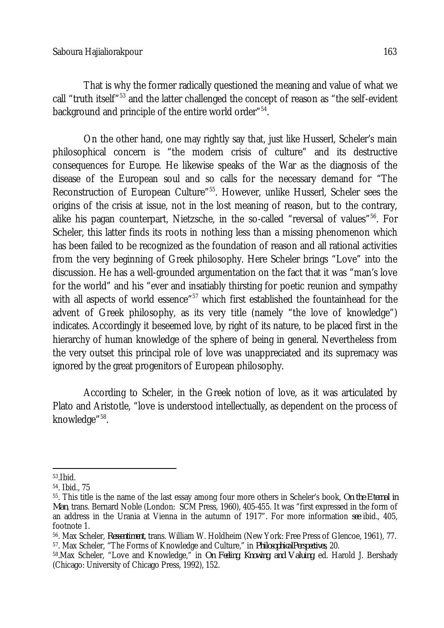That is why the former radically questioned the meaning and value of what we call "truth itself"<sup>53</sup> and the latter challenged the concept of reason as "the self-evident background and principle of the entire world order"<sup>54</sup>.

On the other hand, one may rightly say that, just like Husserl, Scheler's main philosophical concern is "the modern crisis of culture" and its destructive consequences for Europe. He likewise speaks of the War as the diagnosis of the disease of the European soul and so calls for the necessary demand for "The Reconstruction of European Culture<sup>"55</sup>. However, unlike Husserl, Scheler sees the origins of the crisis at issue, not in the lost meaning of reason, but to the contrary, alike his pagan counterpart, Nietzsche, in the so-called "reversal of values"<sup>56</sup>. For Scheler, this latter finds its roots in nothing less than a missing phenomenon which has been failed to be recognized as the foundation of reason and all rational activities from the very beginning of Greek philosophy. Here Scheler brings "Love" into the discussion. He has a well-grounded argumentation on the fact that it was "man's love for the world" and his "ever and insatiably thirsting for poetic reunion and sympathy with all aspects of world essence"<sup>57</sup> which first established the fountainhead for the advent of Greek philosophy, as its very title (namely "the love of knowledge") indicates. Accordingly it beseemed love, by right of its nature, to be placed first in the hierarchy of human knowledge of the sphere of being in general. Nevertheless from the very outset this principal role of love was unappreciated and its supremacy was ignored by the great progenitors of European philosophy.

According to Scheler, in the Greek notion of love, as it was articulated by Plato and Aristotle, "love is understood intellectually, as dependent on the process of knowledge"<sup>58</sup>.

 $\overline{a}$ 53 .Ibid.

<sup>54</sup>. Ibid., 75

<sup>55</sup>. This title is the name of the last essay among four more others in Scheler's book, *On the Eternal in Man*, trans. Bernard Noble (London: SCM Press, 1960), 405-455. It was "first expressed in the form of an address in the Urania at Vienna in the autumn of 1917". For more information *see* ibid., 405, footnote 1.

<sup>56</sup>. Max Scheler, *Ressentiment*, trans. William W. Holdheim (New York: Free Press of Glencoe, 1961), 77. <sup>57</sup>. Max Scheler, "The Forms of Knowledge and Culture," in *PhilosophicalPerspectives*, 20.

<sup>58</sup> .Max Scheler, "Love and Knowledge," in *On Feeling, Knowing, and Valuing*, ed. Harold J. Bershady (Chicago: University of Chicago Press, 1992), 152.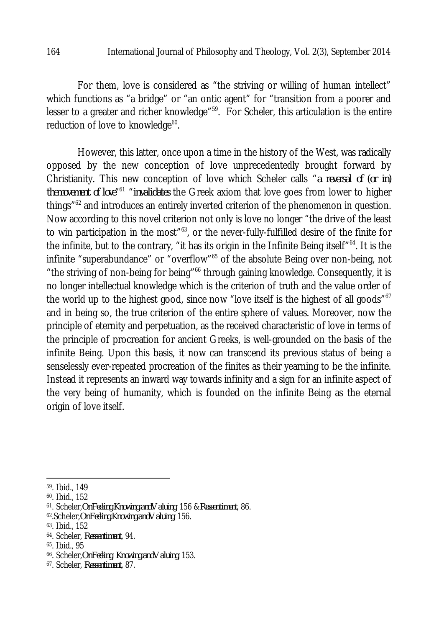For them, love is considered as "the striving or willing of human intellect" which functions as "a bridge" or "an ontic agent" for "transition from a poorer and lesser to a greater and richer knowledge<sup>"59</sup>. For Scheler, this articulation is the entire reduction of love to knowledge $\rm ^{60}$ .

However, this latter, once upon a time in the history of the West, was radically opposed by the new conception of love unprecedentedly brought forward by Christianity. This new conception of love which Scheler calls "*a reversal of (or in) themovement of love*" <sup>61</sup> "*invalidates* the Greek axiom that love goes from lower to higher things<sup>"62</sup> and introduces an entirely inverted criterion of the phenomenon in question. Now according to this novel criterion not only is love no longer "the drive of the least to win participation in the most<sup>"63</sup>, or the never-fully-fulfilled desire of the finite for the infinite, but to the contrary, "it has its origin in the Infinite Being itself"<sup>64</sup>. It is the infinite "superabundance" or "overflow"<sup>65</sup> of the absolute Being over non-being, not "the striving of non-being for being"<sup>66</sup> through gaining knowledge. Consequently, it is no longer intellectual knowledge which is the criterion of truth and the value order of the world up to the highest good, since now "love itself is the highest of all goods"<sup>67</sup> and in being so, the true criterion of the entire sphere of values. Moreover, now the principle of eternity and perpetuation, as the received characteristic of love in terms of the principle of procreation for ancient Greeks, is well-grounded on the basis of the infinite Being. Upon this basis, it now can transcend its previous status of being a senselessly ever-repeated procreation of the finites as their yearning to be the infinite. Instead it represents an inward way towards infinity and a sign for an infinite aspect of the very being of humanity, which is founded on the infinite Being as the eternal origin of love itself.

 $\overline{a}$ 

<sup>&</sup>lt;sup>59</sup>. Ibid., 149

<sup>60</sup>. Ibid., 152

<sup>61</sup> . Scheler,*OnFeeling,Knowing,andValuing*, 156 &*Ressentiment*, 86.

<sup>62</sup>.Scheler,*OnFeeling,Knowing,andValuing*, 156.

<sup>63</sup>. Ibid., 152

<sup>64</sup>. Scheler, *Ressentiment*, 94.

<sup>65</sup>. Ibid., 95

<sup>66</sup>. Scheler,*OnFeeling*, *Knowing,andValuing*, 153.

<sup>67</sup>. Scheler, *Ressentiment*, 87.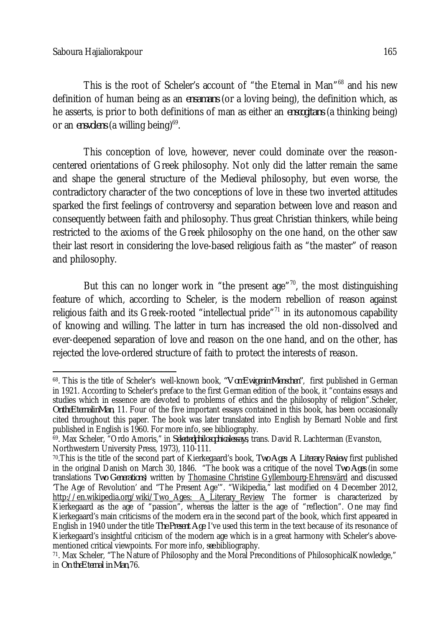This is the root of Scheler's account of "the Eternal in Man"<sup>68</sup> and his new definition of human being as an *ensamans* (or a loving being), the definition which, as he asserts, is prior to both definitions of man as either an *enscogitans* (a thinking being) or an *ensvolens* (a willing being)<sup>69</sup>.

This conception of love, however, never could dominate over the reasoncentered orientations of Greek philosophy. Not only did the latter remain the same and shape the general structure of the Medieval philosophy, but even worse, the contradictory character of the two conceptions of love in these two inverted attitudes sparked the first feelings of controversy and separation between love and reason and consequently between faith and philosophy. Thus great Christian thinkers, while being restricted to the axioms of the Greek philosophy on the one hand, on the other saw their last resort in considering the love-based religious faith as "the master" of reason and philosophy.

But this can no longer work in "the present age" $70$ , the most distinguishing feature of which, according to Scheler, is the modern rebellion of reason against religious faith and its Greek-rooted "intellectual pride" $71$  in its autonomous capability of knowing and willing. The latter in turn has increased the old non-dissolved and ever-deepened separation of love and reason on the one hand, and on the other, has rejected the love-ordered structure of faith to protect the interests of reason.

 $\overline{\phantom{a}}$ <sup>68</sup>. This is the title of Scheler's well-known book, *"VomEwigenimMenschen"*, first published in German in 1921. According to Scheler's preface to the first German edition of the book, it "contains essays and studies which in essence are devoted to problems of ethics and the philosophy of religion".Scheler, *OntheEternalinMan*, 11. Four of the five important essays contained in this book, has been occasionally cited throughout this paper. The book was later translated into English by Bernard Noble and first published in English is 1960. For more info, see bibliography.

<sup>69</sup>. Max Scheler, "Ordo Amoris," in *Selectedphilosophicalessays*, trans. David R. Lachterman (Evanston, Northwestern University Press, 1973), 110-111.

<sup>70</sup>.This is the title of the second part of Kierkegaard's book, *Two Ages*: *A Literary Review*, first published in the original Danish on March 30, 1846. "The book was a critique of the novel *Two Ages* (in some translations *Two Generations*) written by Thomasine Christine Gyllembourg-Ehrensvärd and discussed 'The Age of Revolution' and "The Present Age'". "Wikipedia," last modified on 4 December 2012, http://en.wikipedia.org/wiki/Two Ages: A Literary Review The former is characterized by Kierkegaard as the age of "passion", whereas the latter is the age of "reflection". One may find Kierkegaard's main criticisms of the modern era in the second part of the book, which first appeared in English in 1940 under the title *The Present Age*. I've used this term in the text because of its resonance of Kierkegaard's insightful criticism of the modern age which is in a great harmony with Scheler's abovementioned critical viewpoints. For more info, *see* bibliography.

<sup>71</sup>. Max Scheler, "The Nature of Philosophy and the Moral Preconditions of PhilosophicalKnowledge," in *On theEternal in Man*,76.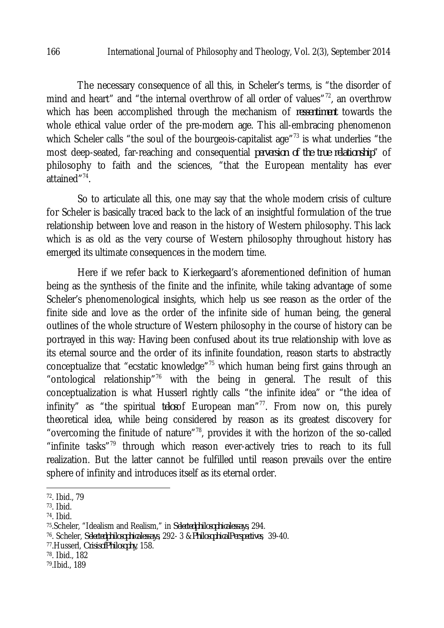The necessary consequence of all this, in Scheler's terms, is "the disorder of mind and heart" and "the internal overthrow of all order of values"<sup>72</sup>, an overthrow which has been accomplished through the mechanism of *ressentiment* towards the whole ethical value order of the pre-modern age. This all-embracing phenomenon which Scheler calls "the soul of the bourgeois-capitalist age"<sup>73</sup> is what underlies "the most deep-seated, far-reaching and consequential *perversion of the true relationship*" of philosophy to faith and the sciences, "that the European mentality has ever attained"<sup>74</sup>.

So to articulate all this, one may say that the whole modern crisis of culture for Scheler is basically traced back to the lack of an insightful formulation of the true relationship between love and reason in the history of Western philosophy. This lack which is as old as the very course of Western philosophy throughout history has emerged its ultimate consequences in the modern time.

Here if we refer back to Kierkegaard's aforementioned definition of human being as the synthesis of the finite and the infinite, while taking advantage of some Scheler's phenomenological insights, which help us see reason as the order of the finite side and love as the order of the infinite side of human being, the general outlines of the whole structure of Western philosophy in the course of history can be portrayed in this way: Having been confused about its true relationship with love as its eternal source and the order of its infinite foundation, reason starts to abstractly conceptualize that "ecstatic knowledge"<sup>75</sup> which human being first gains through an "ontological relationship"<sup>76</sup> with the being in general. The result of this conceptualization is what Husserl rightly calls "the infinite idea" or "the idea of infinity" as "the spiritual *telos*of European man"<sup>77</sup>. From now on, this purely theoretical idea, while being considered by reason as its greatest discovery for "overcoming the finitude of nature"<sup>78</sup>, provides it with the horizon of the so-called "infinite tasks"<sup>79</sup> through which reason ever-actively tries to reach to its full realization. But the latter cannot be fulfilled until reason prevails over the entire sphere of infinity and introduces itself as its eternal order.

<sup>77</sup>.Husserl, *CrisisofPhilosophy*, 158.

 $\overline{a}$ 72 . Ibid., 79

<sup>73</sup>. Ibid.

<sup>74</sup>. Ibid.

<sup>75</sup>.Scheler, "Idealism and Realism," in *Selectedphilosophicalessays*, 294.

<sup>76</sup> . Scheler, *Selectedphilosophicalessays*, 292- 3 &*PhilosophicalPerspectives*, 39-40.

<sup>78</sup>. Ibid., 182

<sup>79</sup> .Ibid., 189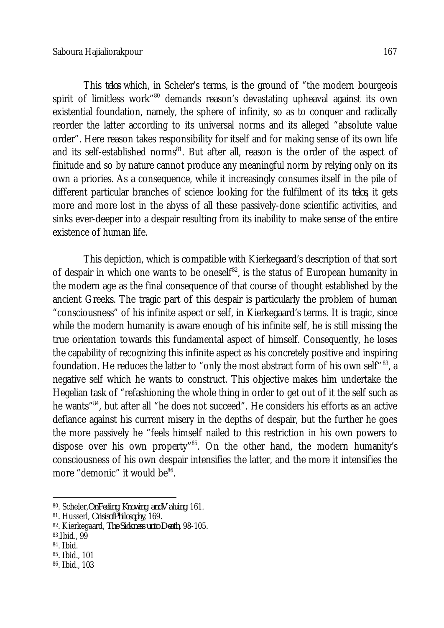This *telos* which, in Scheler's terms, is the ground of "the modern bourgeois spirit of limitless work"<sup>80</sup> demands reason's devastating upheaval against its own existential foundation, namely, the sphere of infinity, so as to conquer and radically reorder the latter according to its universal norms and its alleged "absolute value order". Here reason takes responsibility for itself and for making sense of its own life and its self-established norms<sup>81</sup>. But after all, reason is the order of the aspect of finitude and so by nature cannot produce any meaningful norm by relying only on its own a priories. As a consequence, while it increasingly consumes itself in the pile of different particular branches of science looking for the fulfilment of its *telos*, it gets more and more lost in the abyss of all these passively-done scientific activities, and sinks ever-deeper into a despair resulting from its inability to make sense of the entire existence of human life.

This depiction, which is compatible with Kierkegaard's description of that sort of despair in which one wants to be oneself<sup>82</sup>, is the status of European humanity in the modern age as the final consequence of that course of thought established by the ancient Greeks. The tragic part of this despair is particularly the problem of human "consciousness" of his infinite aspect or self, in Kierkegaard's terms. It is tragic, since while the modern humanity is aware enough of his infinite self, he is still missing the true orientation towards this fundamental aspect of himself. Consequently, he loses the capability of recognizing this infinite aspect as his concretely positive and inspiring foundation. He reduces the latter to "only the most abstract form of his own self"<sup>83</sup>, a negative self which he wants to construct. This objective makes him undertake the Hegelian task of "refashioning the whole thing in order to get out of it the self such as he wants<sup>"84</sup>, but after all "he does not succeed". He considers his efforts as an active defiance against his current misery in the depths of despair, but the further he goes the more passively he "feels himself nailed to this restriction in his own powers to dispose over his own property<sup>"85</sup>. On the other hand, the modern humanity's consciousness of his own despair intensifies the latter, and the more it intensifies the more "demonic" it would be<sup>86</sup>.

- <sup>84</sup>. Ibid.
- <sup>85</sup>. Ibid., 101
- <sup>86</sup>. Ibid., 103

 $\overline{a}$ <sup>80</sup>. Scheler,*OnFeeling*, *Knowing*, *andValuing*, 161.

<sup>81</sup>. Husserl, *CrisisofPhilosophy*, 169.

<sup>82</sup>. Kierkegaard, *The Sickness unto Death*, 98-105.

<sup>83</sup>.Ibid., 99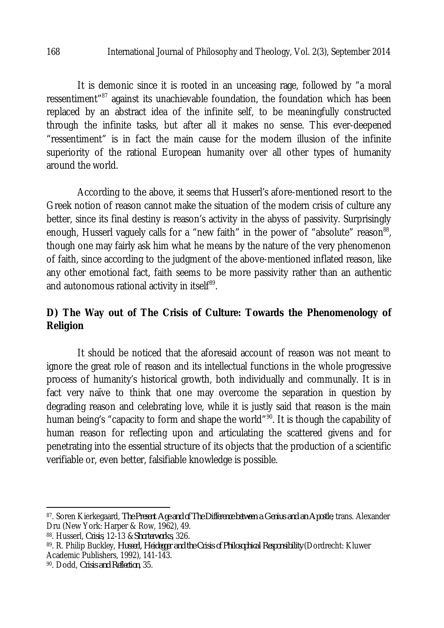#### 168 International Journal of Philosophy and Theology, Vol. 2(3), September 2014

It is demonic since it is rooted in an unceasing rage, followed by "a moral ressentiment<sup>"87</sup> against its unachievable foundation, the foundation which has been replaced by an abstract idea of the infinite self, to be meaningfully constructed through the infinite tasks, but after all it makes no sense. This ever-deepened "ressentiment" is in fact the main cause for the modern illusion of the infinite superiority of the rational European humanity over all other types of humanity around the world.

According to the above, it seems that Husserl's afore-mentioned resort to the Greek notion of reason cannot make the situation of the modern crisis of culture any better, since its final destiny is reason's activity in the abyss of passivity. Surprisingly enough, Husserl vaguely calls for a "new faith" in the power of "absolute" reason $^{88}$ , though one may fairly ask him what he means by the nature of the very phenomenon of faith, since according to the judgment of the above-mentioned inflated reason, like any other emotional fact, faith seems to be more passivity rather than an authentic and autonomous rational activity in itself $^{\scriptsize 89}.$ 

# **D) The Way out of The Crisis of Culture: Towards the Phenomenology of Religion**

It should be noticed that the aforesaid account of reason was not meant to ignore the great role of reason and its intellectual functions in the whole progressive process of humanity's historical growth, both individually and communally. It is in fact very naïve to think that one may overcome the separation in question by degrading reason and celebrating love, while it is justly said that reason is the main human being's "capacity to form and shape the world"<sup>90</sup>. It is though the capability of human reason for reflecting upon and articulating the scattered givens and for penetrating into the essential structure of its objects that the production of a scientific verifiable or, even better, falsifiable knowledge is possible.

 $\overline{\phantom{a}}$ 

<sup>87</sup>. Soren Kierkegaard, *The Present Age and of The Difference between a Genius and an Apostle*, trans. Alexander Dru (New York: Harper & Row, 1962), 49.

<sup>88</sup>. Husserl, *Crisis*, 12-13 &*Shorterworks*, 326.

<sup>89</sup>. R. Philip Buckley, *Husserl, Heidegger and the Crisis of Philosophical Responsibility* (Dordrecht: Kluwer Academic Publishers, 1992), 141-143.

<sup>90</sup>. Dodd, *Crisis and Reflection*, 35.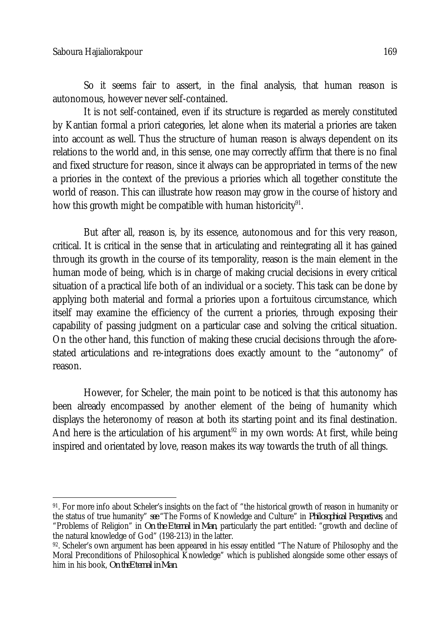So it seems fair to assert, in the final analysis, that human reason is autonomous, however never self-contained.

It is not self-contained, even if its structure is regarded as merely constituted by Kantian formal a priori categories, let alone when its material a priories are taken into account as well. Thus the structure of human reason is always dependent on its relations to the world and, in this sense, one may correctly affirm that there is no final and fixed structure for reason, since it always can be appropriated in terms of the new a priories in the context of the previous a priories which all together constitute the world of reason. This can illustrate how reason may grow in the course of history and how this growth might be compatible with human historicity $^{\rm 91}.$ 

But after all, reason is, by its essence, autonomous and for this very reason, critical. It is critical in the sense that in articulating and reintegrating all it has gained through its growth in the course of its temporality, reason is the main element in the human mode of being, which is in charge of making crucial decisions in every critical situation of a practical life both of an individual or a society. This task can be done by applying both material and formal a priories upon a fortuitous circumstance, which itself may examine the efficiency of the current a priories, through exposing their capability of passing judgment on a particular case and solving the critical situation. On the other hand, this function of making these crucial decisions through the aforestated articulations and re-integrations does exactly amount to the "autonomy" of reason.

However, for Scheler, the main point to be noticed is that this autonomy has been already encompassed by another element of the being of humanity which displays the heteronomy of reason at both its starting point and its final destination. And here is the articulation of his argument<sup>92</sup> in my own words: At first, while being inspired and orientated by love, reason makes its way towards the truth of all things.

 $\overline{a}$ 91. For more info about Scheler's insights on the fact of "the historical growth of reason in humanity or the status of true humanity" *see* "The Forms of Knowledge and Culture" in *Philosophical Perspectives*, and "Problems of Religion" in *On the Eternal in Man*, particularly the part entitled: "growth and decline of the natural knowledge of God" (198-213) in the latter.

<sup>92.</sup> Scheler's own argument has been appeared in his essay entitled "The Nature of Philosophy and the Moral Preconditions of Philosophical Knowledge" which is published alongside some other essays of him in his book, *On theEternal in Man*.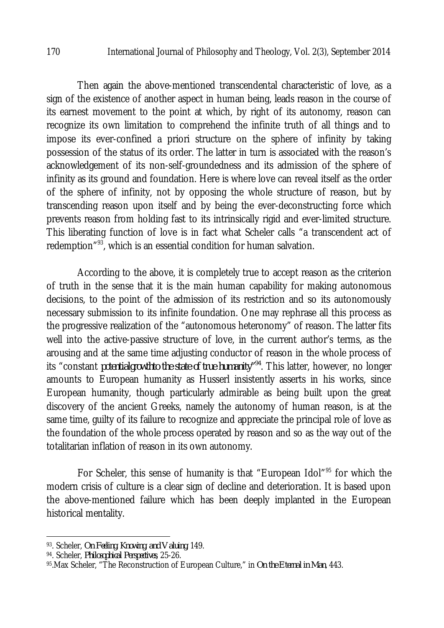Then again the above-mentioned transcendental characteristic of love, as a sign of the existence of another aspect in human being, leads reason in the course of its earnest movement to the point at which, by right of its autonomy, reason can recognize its own limitation to comprehend the infinite truth of all things and to impose its ever-confined a priori structure on the sphere of infinity by taking possession of the status of its order. The latter in turn is associated with the reason's acknowledgement of its non-self-groundedness and its admission of the sphere of infinity as its ground and foundation. Here is where love can reveal itself as the order of the sphere of infinity, not by opposing the whole structure of reason, but by transcending reason upon itself and by being the ever-deconstructing force which prevents reason from holding fast to its intrinsically rigid and ever-limited structure. This liberating function of love is in fact what Scheler calls "a transcendent act of redemption"<sup>93</sup>, which is an essential condition for human salvation.

According to the above, it is completely true to accept reason as the criterion of truth in the sense that it is the main human capability for making autonomous decisions, to the point of the admission of its restriction and so its autonomously necessary submission to its infinite foundation. One may rephrase all this process as the progressive realization of the "autonomous heteronomy" of reason. The latter fits well into the active-passive structure of love, in the current author's terms, as the arousing and at the same time adjusting conductor of reason in the whole process of its "constant *potentialgrowthto the state of true humanity"<sup>94</sup>*. This latter, however, no longer amounts to European humanity as Husserl insistently asserts in his works, since European humanity, though particularly admirable as being built upon the great discovery of the ancient Greeks, namely the autonomy of human reason, is at the same time, guilty of its failure to recognize and appreciate the principal role of love as the foundation of the whole process operated by reason and so as the way out of the totalitarian inflation of reason in its own autonomy.

For Scheler, this sense of humanity is that "European Idol"<sup>95</sup> for which the modern crisis of culture is a clear sign of decline and deterioration. It is based upon the above-mentioned failure which has been deeply implanted in the European historical mentality.

 $\overline{\phantom{a}}$ <sup>93</sup>. Scheler, *On Feeling, Knowing, and Valuing*, 149.

<sup>94</sup>. Scheler, *Philosophical Perspectives*, 25-26.

<sup>95</sup>.Max Scheler, "The Reconstruction of European Culture," in *On the Eternal in Man*, 443.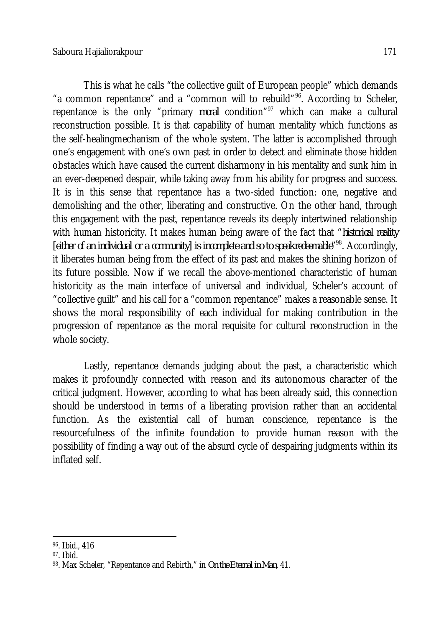This is what he calls "the collective guilt of European people" which demands "a common repentance" and a "common will to rebuild"<sup>96</sup>. According to Scheler, repentance is the only "primary *moral* condition"<sup>97</sup> which can make a cultural reconstruction possible. It is that capability of human mentality which functions as the self-healingmechanism of the whole system. The latter is accomplished through one's engagement with one's own past in order to detect and eliminate those hidden obstacles which have caused the current disharmony in his mentality and sunk him in an ever-deepened despair, while taking away from his ability for progress and success. It is in this sense that repentance has a two-sided function: one, negative and demolishing and the other, liberating and constructive. On the other hand, through this engagement with the past, repentance reveals its deeply intertwined relationship with human historicity. It makes human being aware of the fact that "*historical reality*  [either of an individual or a community] is incomplete and so to speakredeemable<sup>n98</sup>. Accordingly, it liberates human being from the effect of its past and makes the shining horizon of its future possible. Now if we recall the above-mentioned characteristic of human historicity as the main interface of universal and individual, Scheler's account of "collective guilt" and his call for a "common repentance" makes a reasonable sense. It shows the moral responsibility of each individual for making contribution in the progression of repentance as the moral requisite for cultural reconstruction in the whole society.

Lastly, repentance demands judging about the past, a characteristic which makes it profoundly connected with reason and its autonomous character of the critical judgment. However, according to what has been already said, this connection should be understood in terms of a liberating provision rather than an accidental function. As the existential call of human conscience, repentance is the resourcefulness of the infinite foundation to provide human reason with the possibility of finding a way out of the absurd cycle of despairing judgments within its inflated self.

 $\overline{\phantom{a}}$ 96 . Ibid., 416

<sup>97</sup>. Ibid.

<sup>98</sup>. Max Scheler, "Repentance and Rebirth," in *On the Eternal in Man*, 41.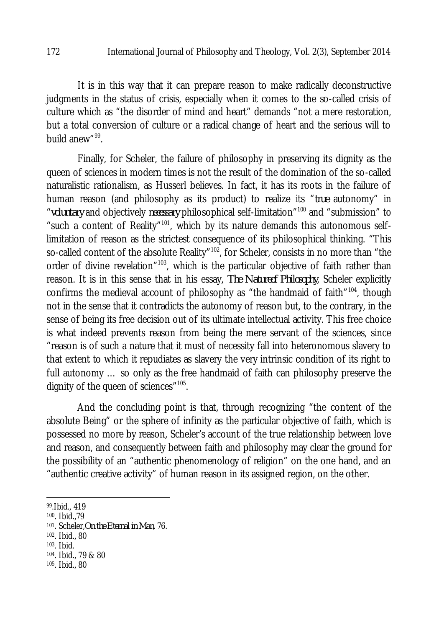It is in this way that it can prepare reason to make radically deconstructive judgments in the status of crisis, especially when it comes to the so-called crisis of culture which as "the disorder of mind and heart" demands "not a mere restoration, but a total conversion of culture or a radical change of heart and the serious will to build anew"<sup>99</sup>.

Finally, for Scheler, the failure of philosophy in preserving its dignity as the queen of sciences in modern times is not the result of the domination of the so-called naturalistic rationalism, as Husserl believes. In fact, it has its roots in the failure of human reason (and philosophy as its product) to realize its "*true* autonomy" in "*voluntary* and objectively *necessary* philosophical self-limitation"<sup>100</sup> and "submission" to "such a content of Reality"<sup>101</sup>, which by its nature demands this autonomous selflimitation of reason as the strictest consequence of its philosophical thinking. "This so-called content of the absolute Reality"<sup>102</sup>, for Scheler, consists in no more than "the order of divine revelation"<sup>103</sup>, which is the particular objective of faith rather than reason. It is in this sense that in his essay, *The Natureof Philosophy*, Scheler explicitly confirms the medieval account of philosophy as "the handmaid of faith"<sup>104</sup>, though not in the sense that it contradicts the autonomy of reason but, to the contrary, in the sense of being its free decision out of its ultimate intellectual activity. This free choice is what indeed prevents reason from being the mere servant of the sciences, since "reason is of such a nature that it must of necessity fall into heteronomous slavery to that extent to which it repudiates as slavery the very intrinsic condition of its right to full autonomy ... so only as the free handmaid of faith can philosophy preserve the dignity of the queen of sciences"<sup>105</sup>.

And the concluding point is that, through recognizing "the content of the absolute Being" or the sphere of infinity as the particular objective of faith, which is possessed no more by reason, Scheler's account of the true relationship between love and reason, and consequently between faith and philosophy may clear the ground for the possibility of an "authentic phenomenology of religion" on the one hand, and an "authentic creative activity" of human reason in its assigned region, on the other.

 $\overline{a}$ 

<sup>99</sup> .Ibid., 419

<sup>100</sup>. Ibid.,79

<sup>101</sup> . Scheler,*On the Eternal in Man*, 76.

<sup>102</sup> . Ibid., 80

<sup>103</sup>. Ibid.

<sup>104</sup>. Ibid., 79 & 80

<sup>105</sup>. Ibid., 80